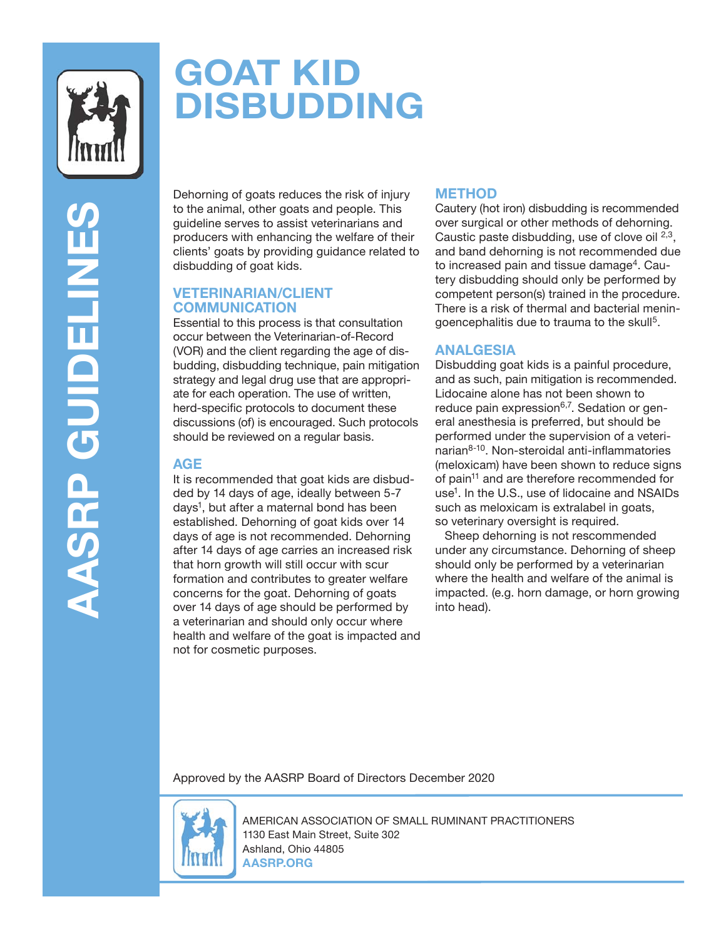

# **GOAT KID DISBUDDING**

**AASRP GUIDELINES AASRP GUIDELINE** 

Dehorning of goats reduces the risk of injury to the animal, other goats and people. This guideline serves to assist veterinarians and producers with enhancing the welfare of their clients' goats by providing guidance related to disbudding of goat kids.

#### **VETERINARIAN/CLIENT COMMUNICATION**

Essential to this process is that consultation occur between the Veterinarian-of-Record (VOR) and the client regarding the age of disbudding, disbudding technique, pain mitigation strategy and legal drug use that are appropriate for each operation. The use of written, herd-specific protocols to document these discussions (of) is encouraged. Such protocols should be reviewed on a regular basis.

#### **AGE**

It is recommended that goat kids are disbudded by 14 days of age, ideally between 5-7 days<sup>1</sup>, but after a maternal bond has been established. Dehorning of goat kids over 14 days of age is not recommended. Dehorning after 14 days of age carries an increased risk that horn growth will still occur with scur formation and contributes to greater welfare concerns for the goat. Dehorning of goats over 14 days of age should be performed by a veterinarian and should only occur where health and welfare of the goat is impacted and not for cosmetic purposes.

## **METHOD**

Cautery (hot iron) disbudding is recommended over surgical or other methods of dehorning. Caustic paste disbudding, use of clove oil  $^{2,3}$ , and band dehorning is not recommended due to increased pain and tissue damage<sup>4</sup>. Cautery disbudding should only be performed by competent person(s) trained in the procedure. There is a risk of thermal and bacterial meningoencephalitis due to trauma to the skull<sup>5</sup>.

### **ANALGESIA**

Disbudding goat kids is a painful procedure, and as such, pain mitigation is recommended. Lidocaine alone has not been shown to reduce pain expression $6,7$ . Sedation or general anesthesia is preferred, but should be performed under the supervision of a veteri $n$ narian $8-10$ . Non-steroidal anti-inflammatories (meloxicam) have been shown to reduce signs of pain<sup>11</sup> and are therefore recommended for use<sup>1</sup>. In the U.S., use of lidocaine and NSAIDs such as meloxicam is extralabel in goats, so veterinary oversight is required.

 Sheep dehorning is not rescommended under any circumstance. Dehorning of sheep should only be performed by a veterinarian where the health and welfare of the animal is impacted. (e.g. horn damage, or horn growing into head).

Approved by the AASRP Board of Directors December 2020



AMERICAN ASSOCIATION OF SMALL RUMINANT PRACTITIONERS 1130 East Main Street, Suite 302 Ashland, Ohio 44805 **AASRP.ORG**